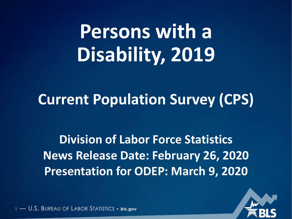# **Persons with a Disability, 2019**

# **Current Population Survey (CPS)**

**Division of Labor Force Statistics News Release Date: February 26, 2020 Presentation for ODEP: March 9, 2020**

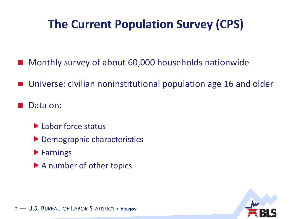### **The Current Population Survey (CPS)**

- Monthly survey of about 60,000 households nationwide
- Universe: civilian noninstitutional population age 16 and older
- Data on:
	- ▶ Labor force status
	- ▶ Demographic characteristics
	- **Earnings**
	- ▶ A number of other topics

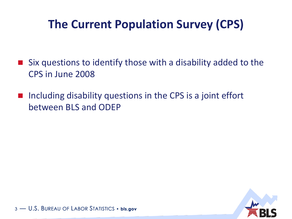#### **The Current Population Survey (CPS)**

- Six questions to identify those with a disability added to the CPS in June 2008
- $\blacksquare$  Including disability questions in the CPS is a joint effort between BLS and ODEP

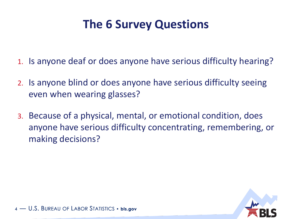#### **The 6 Survey Questions**

- 1. Is anyone deaf or does anyone have serious difficulty hearing?
- 2. Is anyone blind or does anyone have serious difficulty seeing even when wearing glasses?
- 3. Because of a physical, mental, or emotional condition, does anyone have serious difficulty concentrating, remembering, or making decisions?

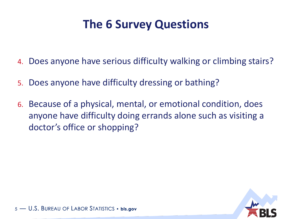#### **The 6 Survey Questions**

- 4. Does anyone have serious difficulty walking or climbing stairs?
- 5. Does anyone have difficulty dressing or bathing?
- 6. Because of a physical, mental, or emotional condition, does anyone have difficulty doing errands alone such as visiting a doctor's office or shopping?

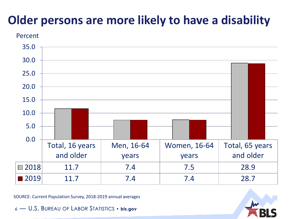# **Older persons are more likely to have a disability**





SOURCE: Current Population Survey, 2018-2019 annual averages

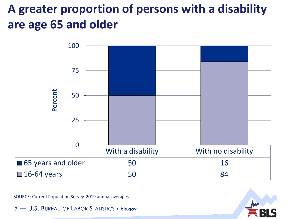# **A greater proportion of persons with a disability are age 65 and older**



SOURCE: Current Population Survey, 2019 annual averages

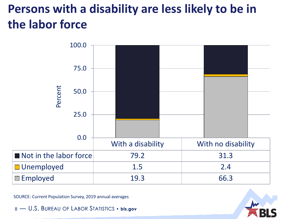# **Persons with a disability are less likely to be in the labor force**



SOURCE: Current Population Survey, 2019 annual averages

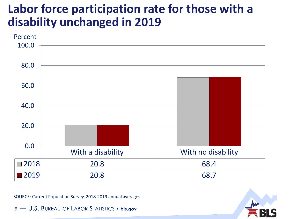#### **Labor force participation rate for those with a disability unchanged in 2019**



SOURCE: Current Population Survey, 2018-2019 annual averages

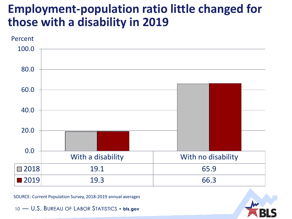#### **Employment-population ratio little changed for those with a disability in 2019**



SOURCE: Current Population Survey, 2018-2019 annual averages

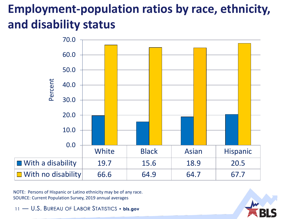# **Employment-population ratios by race, ethnicity, and disability status**



NOTE: Persons of Hispanic or Latino ethnicity may be of any race. SOURCE: Current Population Survey, 2019 annual averages

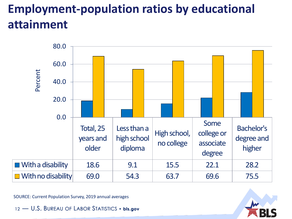# **Employment-population ratios by educational attainment**



SOURCE: Current Population Survey, 2019 annual averages

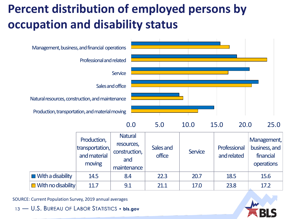# **Percent distribution of employed persons by occupation and disability status**



SOURCE: Current Population Survey, 2019 annual averages

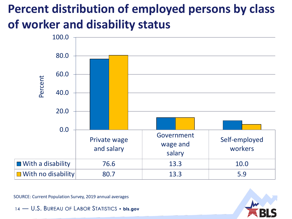# **Percent distribution of employed persons by class of worker and disability status**



SOURCE: Current Population Survey, 2019 annual averages

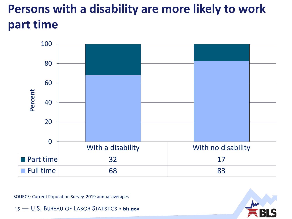# **Persons with a disability are more likely to work part time**



SOURCE: Current Population Survey, 2019 annual averages

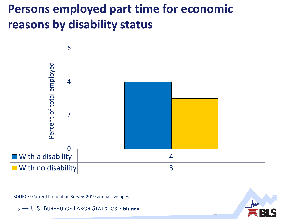#### **Persons employed part time for economic reasons by disability status**



SOURCE: Current Population Survey, 2019 annual averages

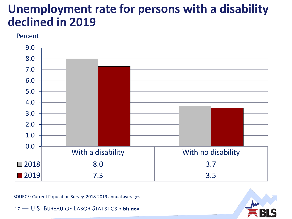#### **Unemployment rate for persons with a disability declined in 2019**

#### Percent



SOURCE: Current Population Survey, 2018-2019 annual averages

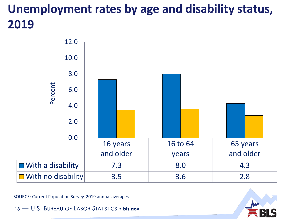# **Unemployment rates by age and disability status, 2019**



SOURCE: Current Population Survey, 2019 annual averages

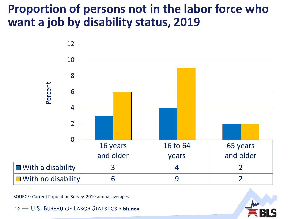#### **Proportion of persons not in the labor force who want a job by disability status, 2019**



SOURCE: Current Population Survey, 2019 annual averages

![](_page_18_Picture_4.jpeg)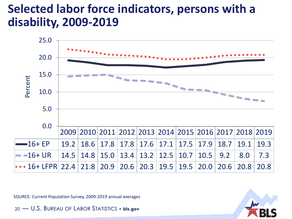#### **Selected labor force indicators, persons with a disability, 2009-2019**

![](_page_19_Figure_1.jpeg)

SOURCE: Current Population Survey, 2009-2019 annual averages

![](_page_19_Picture_4.jpeg)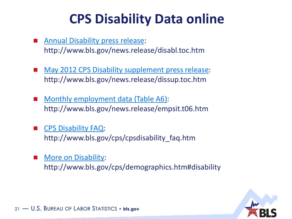# **CPS Disability Data online**

- [Annual Disability press release:](http://www.bls.gov/news.release/disabl.toc.htm) http://www.bls.gov/news.release/disabl.toc.htm
- [May 2012 CPS Disability supplement press release](http://www.bls.gov/news.release/dissup.toc.htm): http://www.bls.gov/news.release/dissup.toc.htm
- [Monthly employment data \(Table A6\)](http://www.bls.gov/news.release/empsit.t06.htm): http://www.bls.gov/news.release/empsit.t06.htm
- [CPS Disability FAQ:](http://www.bls.gov/cps/cpsdisability_faq.htm) http://www.bls.gov/cps/cpsdisability\_faq.htm
- [More on Disability:](http://www.bls.gov/cps/demographics.htm#disability) http://www.bls.gov/cps/demographics.htm#disability

![](_page_20_Picture_6.jpeg)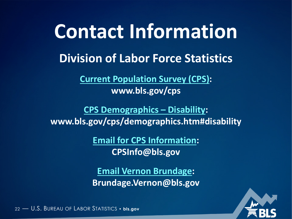# **Division of Labor Force Statistics Contact Information**

**[Current Population Survey \(CPS\)](http://www.bls.gov/cps): www.bls.gov/cps**

**[CPS Demographics –](http://www.bls.gov/cps/demographics.htm#disability) Disability: www.bls.gov/cps/demographics.htm#disability**

> **[Email for CPS Information](mailto:CPSInfo@bls.gov?subject=CPS%20Info): CPSInfo@bls.gov**

> **[Email Vernon Brundage:](mailto:Brundage.Vernon@bls.gov?subject=CPS%20Info) Brundage.Vernon@bls.gov**

![](_page_21_Picture_5.jpeg)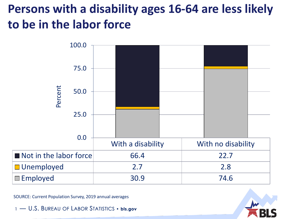## **Persons with a disability ages 16-64 are less likely to be in the labor force**

![](_page_22_Figure_1.jpeg)

SOURCE: Current Population Survey, 2019 annual averages

![](_page_22_Picture_4.jpeg)